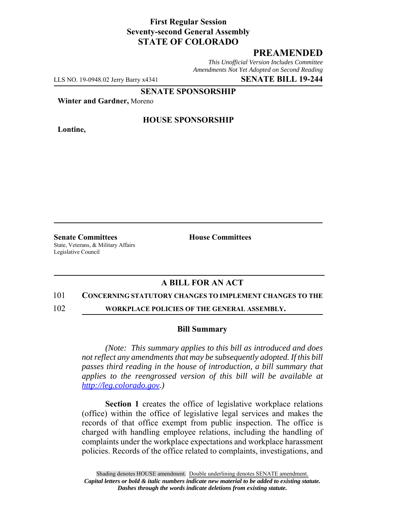### **First Regular Session Seventy-second General Assembly STATE OF COLORADO**

# **PREAMENDED**

*This Unofficial Version Includes Committee Amendments Not Yet Adopted on Second Reading*

LLS NO. 19-0948.02 Jerry Barry x4341 **SENATE BILL 19-244**

**SENATE SPONSORSHIP**

**Winter and Gardner,** Moreno

**Lontine,**

#### **HOUSE SPONSORSHIP**

**Senate Committees House Committees** State, Veterans, & Military Affairs Legislative Council

# **A BILL FOR AN ACT**

#### 101 **CONCERNING STATUTORY CHANGES TO IMPLEMENT CHANGES TO THE**

102 **WORKPLACE POLICIES OF THE GENERAL ASSEMBLY.**

#### **Bill Summary**

*(Note: This summary applies to this bill as introduced and does not reflect any amendments that may be subsequently adopted. If this bill passes third reading in the house of introduction, a bill summary that applies to the reengrossed version of this bill will be available at http://leg.colorado.gov.)*

**Section 1** creates the office of legislative workplace relations (office) within the office of legislative legal services and makes the records of that office exempt from public inspection. The office is charged with handling employee relations, including the handling of complaints under the workplace expectations and workplace harassment policies. Records of the office related to complaints, investigations, and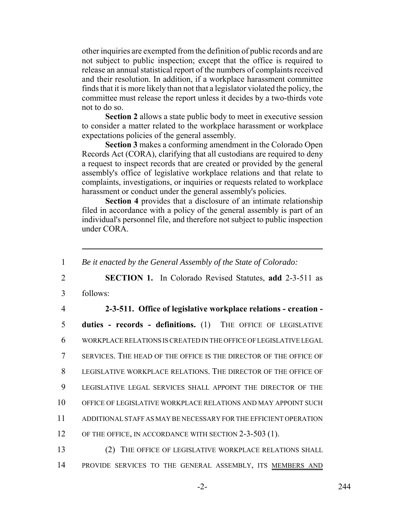other inquiries are exempted from the definition of public records and are not subject to public inspection; except that the office is required to release an annual statistical report of the numbers of complaints received and their resolution. In addition, if a workplace harassment committee finds that it is more likely than not that a legislator violated the policy, the committee must release the report unless it decides by a two-thirds vote not to do so.

**Section 2** allows a state public body to meet in executive session to consider a matter related to the workplace harassment or workplace expectations policies of the general assembly.

**Section 3** makes a conforming amendment in the Colorado Open Records Act (CORA), clarifying that all custodians are required to deny a request to inspect records that are created or provided by the general assembly's office of legislative workplace relations and that relate to complaints, investigations, or inquiries or requests related to workplace harassment or conduct under the general assembly's policies.

**Section 4** provides that a disclosure of an intimate relationship filed in accordance with a policy of the general assembly is part of an individual's personnel file, and therefore not subject to public inspection under CORA.

 *Be it enacted by the General Assembly of the State of Colorado:* **SECTION 1.** In Colorado Revised Statutes, **add** 2-3-511 as 3 follows: **2-3-511. Office of legislative workplace relations - creation - duties - records - definitions.** (1) THE OFFICE OF LEGISLATIVE WORKPLACE RELATIONS IS CREATED IN THE OFFICE OF LEGISLATIVE LEGAL SERVICES. THE HEAD OF THE OFFICE IS THE DIRECTOR OF THE OFFICE OF LEGISLATIVE WORKPLACE RELATIONS. THE DIRECTOR OF THE OFFICE OF LEGISLATIVE LEGAL SERVICES SHALL APPOINT THE DIRECTOR OF THE OFFICE OF LEGISLATIVE WORKPLACE RELATIONS AND MAY APPOINT SUCH ADDITIONAL STAFF AS MAY BE NECESSARY FOR THE EFFICIENT OPERATION 12 OF THE OFFICE, IN ACCORDANCE WITH SECTION 2-3-503 (1). (2) THE OFFICE OF LEGISLATIVE WORKPLACE RELATIONS SHALL

14 PROVIDE SERVICES TO THE GENERAL ASSEMBLY, ITS MEMBERS AND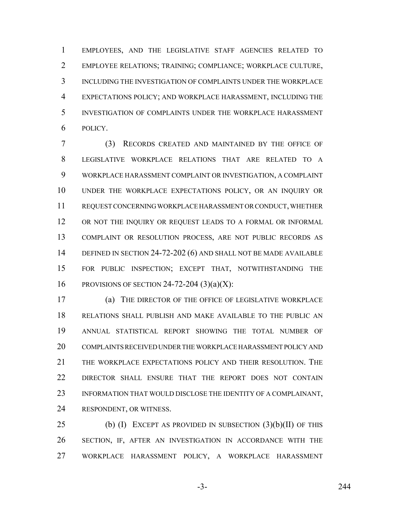EMPLOYEES, AND THE LEGISLATIVE STAFF AGENCIES RELATED TO EMPLOYEE RELATIONS; TRAINING; COMPLIANCE; WORKPLACE CULTURE, INCLUDING THE INVESTIGATION OF COMPLAINTS UNDER THE WORKPLACE EXPECTATIONS POLICY; AND WORKPLACE HARASSMENT, INCLUDING THE INVESTIGATION OF COMPLAINTS UNDER THE WORKPLACE HARASSMENT POLICY.

 (3) RECORDS CREATED AND MAINTAINED BY THE OFFICE OF LEGISLATIVE WORKPLACE RELATIONS THAT ARE RELATED TO A WORKPLACE HARASSMENT COMPLAINT OR INVESTIGATION, A COMPLAINT UNDER THE WORKPLACE EXPECTATIONS POLICY, OR AN INQUIRY OR REQUEST CONCERNING WORKPLACE HARASSMENT OR CONDUCT, WHETHER 12 OR NOT THE INQUIRY OR REQUEST LEADS TO A FORMAL OR INFORMAL COMPLAINT OR RESOLUTION PROCESS, ARE NOT PUBLIC RECORDS AS DEFINED IN SECTION 24-72-202 (6) AND SHALL NOT BE MADE AVAILABLE FOR PUBLIC INSPECTION; EXCEPT THAT, NOTWITHSTANDING THE 16 PROVISIONS OF SECTION 24-72-204  $(3)(a)(X)$ :

 (a) THE DIRECTOR OF THE OFFICE OF LEGISLATIVE WORKPLACE RELATIONS SHALL PUBLISH AND MAKE AVAILABLE TO THE PUBLIC AN ANNUAL STATISTICAL REPORT SHOWING THE TOTAL NUMBER OF COMPLAINTS RECEIVED UNDER THE WORKPLACE HARASSMENT POLICY AND THE WORKPLACE EXPECTATIONS POLICY AND THEIR RESOLUTION. THE DIRECTOR SHALL ENSURE THAT THE REPORT DOES NOT CONTAIN INFORMATION THAT WOULD DISCLOSE THE IDENTITY OF A COMPLAINANT, RESPONDENT, OR WITNESS.

25 (b) (I) EXCEPT AS PROVIDED IN SUBSECTION (3)(b)(II) OF THIS SECTION, IF, AFTER AN INVESTIGATION IN ACCORDANCE WITH THE WORKPLACE HARASSMENT POLICY, A WORKPLACE HARASSMENT

-3- 244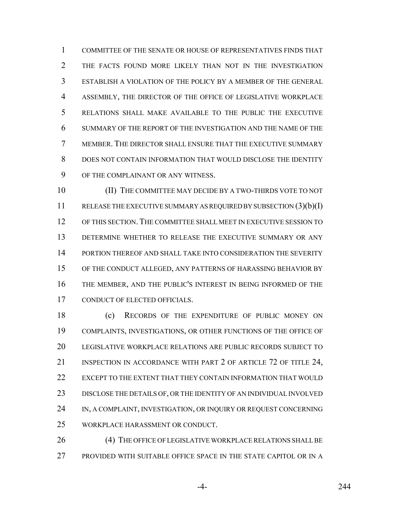COMMITTEE OF THE SENATE OR HOUSE OF REPRESENTATIVES FINDS THAT THE FACTS FOUND MORE LIKELY THAN NOT IN THE INVESTIGATION ESTABLISH A VIOLATION OF THE POLICY BY A MEMBER OF THE GENERAL ASSEMBLY, THE DIRECTOR OF THE OFFICE OF LEGISLATIVE WORKPLACE RELATIONS SHALL MAKE AVAILABLE TO THE PUBLIC THE EXECUTIVE SUMMARY OF THE REPORT OF THE INVESTIGATION AND THE NAME OF THE MEMBER. THE DIRECTOR SHALL ENSURE THAT THE EXECUTIVE SUMMARY DOES NOT CONTAIN INFORMATION THAT WOULD DISCLOSE THE IDENTITY OF THE COMPLAINANT OR ANY WITNESS.

 (II) THE COMMITTEE MAY DECIDE BY A TWO-THIRDS VOTE TO NOT 11 RELEASE THE EXECUTIVE SUMMARY AS REQUIRED BY SUBSECTION (3)(b)(I) 12 OF THIS SECTION. THE COMMITTEE SHALL MEET IN EXECUTIVE SESSION TO DETERMINE WHETHER TO RELEASE THE EXECUTIVE SUMMARY OR ANY 14 PORTION THEREOF AND SHALL TAKE INTO CONSIDERATION THE SEVERITY OF THE CONDUCT ALLEGED, ANY PATTERNS OF HARASSING BEHAVIOR BY THE MEMBER, AND THE PUBLIC'S INTEREST IN BEING INFORMED OF THE CONDUCT OF ELECTED OFFICIALS.

 (c) RECORDS OF THE EXPENDITURE OF PUBLIC MONEY ON COMPLAINTS, INVESTIGATIONS, OR OTHER FUNCTIONS OF THE OFFICE OF LEGISLATIVE WORKPLACE RELATIONS ARE PUBLIC RECORDS SUBJECT TO 21 INSPECTION IN ACCORDANCE WITH PART 2 OF ARTICLE 72 OF TITLE 24, EXCEPT TO THE EXTENT THAT THEY CONTAIN INFORMATION THAT WOULD DISCLOSE THE DETAILS OF, OR THE IDENTITY OF AN INDIVIDUAL INVOLVED 24 IN, A COMPLAINT, INVESTIGATION, OR INQUIRY OR REQUEST CONCERNING WORKPLACE HARASSMENT OR CONDUCT.

26 (4) THE OFFICE OF LEGISLATIVE WORKPLACE RELATIONS SHALL BE PROVIDED WITH SUITABLE OFFICE SPACE IN THE STATE CAPITOL OR IN A

-4- 244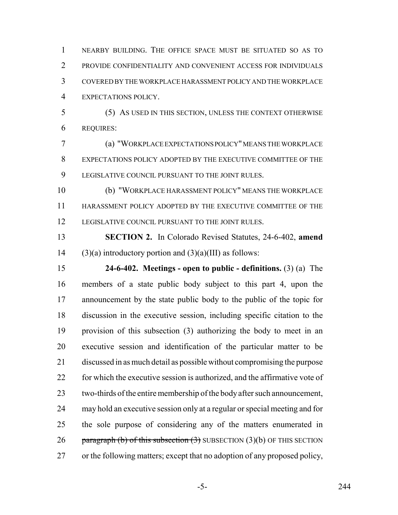NEARBY BUILDING. THE OFFICE SPACE MUST BE SITUATED SO AS TO PROVIDE CONFIDENTIALITY AND CONVENIENT ACCESS FOR INDIVIDUALS COVERED BY THE WORKPLACE HARASSMENT POLICY AND THE WORKPLACE EXPECTATIONS POLICY.

 (5) AS USED IN THIS SECTION, UNLESS THE CONTEXT OTHERWISE REQUIRES:

 (a) "WORKPLACE EXPECTATIONS POLICY" MEANS THE WORKPLACE EXPECTATIONS POLICY ADOPTED BY THE EXECUTIVE COMMITTEE OF THE LEGISLATIVE COUNCIL PURSUANT TO THE JOINT RULES.

 (b) "WORKPLACE HARASSMENT POLICY" MEANS THE WORKPLACE HARASSMENT POLICY ADOPTED BY THE EXECUTIVE COMMITTEE OF THE LEGISLATIVE COUNCIL PURSUANT TO THE JOINT RULES.

 **SECTION 2.** In Colorado Revised Statutes, 24-6-402, **amend** 14 (3)(a) introductory portion and  $(3)(a)(III)$  as follows:

 **24-6-402. Meetings - open to public - definitions.** (3) (a) The members of a state public body subject to this part 4, upon the announcement by the state public body to the public of the topic for discussion in the executive session, including specific citation to the provision of this subsection (3) authorizing the body to meet in an executive session and identification of the particular matter to be discussed in as much detail as possible without compromising the purpose 22 for which the executive session is authorized, and the affirmative vote of two-thirds of the entire membership of the body after such announcement, may hold an executive session only at a regular or special meeting and for the sole purpose of considering any of the matters enumerated in 26 paragraph (b) of this subsection  $(3)$  SUBSECTION  $(3)(b)$  OF THIS SECTION or the following matters; except that no adoption of any proposed policy,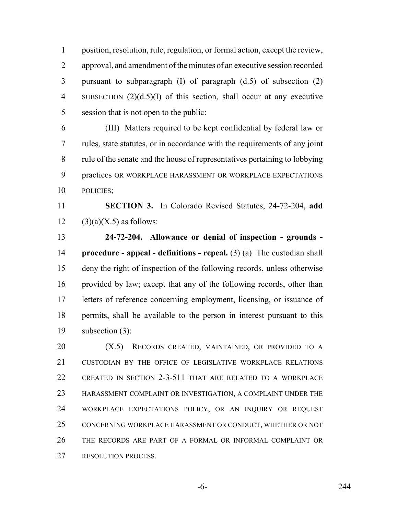position, resolution, rule, regulation, or formal action, except the review, approval, and amendment of the minutes of an executive session recorded 3 pursuant to subparagraph  $(I)$  of paragraph  $(d.5)$  of subsection  $(2)$  SUBSECTION (2)(d.5)(I) of this section, shall occur at any executive session that is not open to the public:

 (III) Matters required to be kept confidential by federal law or rules, state statutes, or in accordance with the requirements of any joint 8 rule of the senate and the house of representatives pertaining to lobbying practices OR WORKPLACE HARASSMENT OR WORKPLACE EXPECTATIONS POLICIES;

 **SECTION 3.** In Colorado Revised Statutes, 24-72-204, **add** 12 (3)(a)(X.5) as follows:

 **24-72-204. Allowance or denial of inspection - grounds - procedure - appeal - definitions - repeal.** (3) (a) The custodian shall deny the right of inspection of the following records, unless otherwise provided by law; except that any of the following records, other than letters of reference concerning employment, licensing, or issuance of permits, shall be available to the person in interest pursuant to this subsection (3):

**(X.5)** RECORDS CREATED, MAINTAINED, OR PROVIDED TO A 21 CUSTODIAN BY THE OFFICE OF LEGISLATIVE WORKPLACE RELATIONS CREATED IN SECTION 2-3-511 THAT ARE RELATED TO A WORKPLACE HARASSMENT COMPLAINT OR INVESTIGATION, A COMPLAINT UNDER THE WORKPLACE EXPECTATIONS POLICY, OR AN INQUIRY OR REQUEST CONCERNING WORKPLACE HARASSMENT OR CONDUCT, WHETHER OR NOT THE RECORDS ARE PART OF A FORMAL OR INFORMAL COMPLAINT OR RESOLUTION PROCESS.